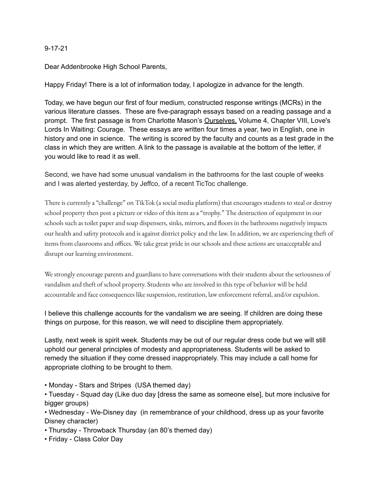### 9-17-21

Dear Addenbrooke High School Parents,

Happy Friday! There is a lot of information today, I apologize in advance for the length.

Today, we have begun our first of four medium, constructed response writings (MCRs) in the various literature classes. These are five-paragraph essays based on a reading passage and a prompt. The first passage is from Charlotte Mason's Ourselves, Volume 4, Chapter VIII, Love's Lords In Waiting: Courage. These essays are written four times a year, two in English, one in history and one in science. The writing is scored by the faculty and counts as a test grade in the class in which they are written. A link to the passage is available at the bottom of the letter, if you would like to read it as well.

Second, we have had some unusual vandalism in the bathrooms for the last couple of weeks and I was alerted yesterday, by Jeffco, of a recent TicToc challenge.

There is currently a "challenge" on TikTok (a social media platform) that encourages students to steal or destroy school property then post a picture or video of this item as a "trophy." The destruction of equipment in our schools such as toilet paper and soap dispensers, sinks, mirrors, and floors in the bathrooms negatively impacts our health and safety protocols and is against district policy and the law. In addition, we are experiencing theft of items from classrooms and offices. We take great pride in our schools and these actions are unacceptable and disrupt our learning environment.

We strongly encourage parents and guardians to have conversations with their students about the seriousness of vandalism and theft of school property. Students who are involved in this type of behavior will be held accountable and face consequences like suspension, restitution, law enforcement referral, and/or expulsion.

I believe this challenge accounts for the vandalism we are seeing. If children are doing these things on purpose, for this reason, we will need to discipline them appropriately.

Lastly, next week is spirit week. Students may be out of our regular dress code but we will still uphold our general principles of modesty and appropriateness. Students will be asked to remedy the situation if they come dressed inappropriately. This may include a call home for appropriate clothing to be brought to them.

• Monday - Stars and Stripes (USA themed day)

• Tuesday - Squad day (Like duo day [dress the same as someone else], but more inclusive for bigger groups)

• Wednesday - We-Disney day (in remembrance of your childhood, dress up as your favorite Disney character)

- Thursday Throwback Thursday (an 80's themed day)
- Friday Class Color Day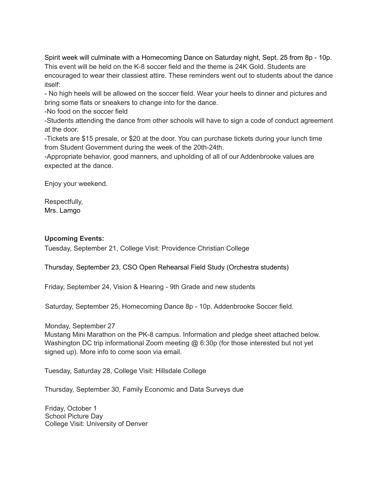Spirit week will culminate with a Homecoming Dance on Saturday night, Sept. 25 from 8p - 10p. This event will be held on the K-8 soccer field and the theme is 24K Gold. Students are encouraged to wear their classiest attire. These reminders went out to students about the dance itself:

- No high heels will be allowed on the soccer field. Wear your heels to dinner and pictures and bring some flats or sneakers to change into for the dance.

-No food on the soccer field

-Students attending the dance from other schools will have to sign a code of conduct agreement at the door.

-Tickets are \$15 presale, or \$20 at the door. You can purchase tickets during your lunch time from Student Government during the week of the 20th-24th.

-Appropriate behavior, good manners, and upholding of all of our Addenbrooke values are expected at the dance.

Enjoy your weekend.

Respectfully, Mrs. Lamgo

## **Upcoming Events:**

Tuesday, September 21, College Visit: Providence Christian College

Thursday, September 23, CSO Open Rehearsal Field Study (Orchestra students)

Friday, September 24, Vision & Hearing - 9th Grade and new students

Saturday, September 25, Homecoming Dance 8p - 10p. Addenbrooke Soccer field.

Monday, September 27

Mustang Mini Marathon on the PK-8 campus. Information and pledge sheet attached below. Washington DC trip informational Zoom meeting @ 6:30p (for those interested but not yet signed up). More info to come soon via email.

Tuesday, Saturday 28, College Visit: Hillsdale College

Thursday, September 30, Family Economic and Data Surveys due

Friday, October 1 School Picture Day College Visit: University of Denver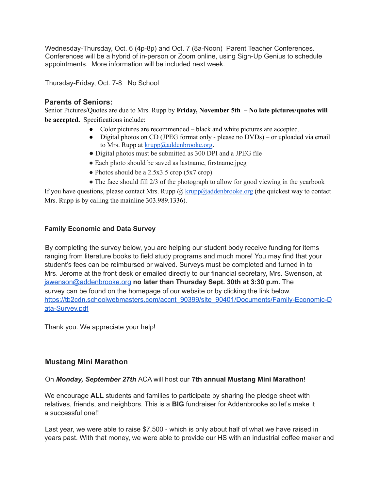Wednesday-Thursday, Oct. 6 (4p-8p) and Oct. 7 (8a-Noon) Parent Teacher Conferences. Conferences will be a hybrid of in-person or Zoom online, using Sign-Up Genius to schedule appointments. More information will be included next week.

Thursday-Friday, Oct. 7-8 No School

## **Parents of Seniors:**

Senior Pictures/Quotes are due to Mrs. Rupp by **Friday, November 5th – No late pictures/quotes will be accepted.** Specifications include:

- Color pictures are recommended black and white pictures are accepted.
- Digital photos on CD (JPEG format only please no DVDs) or uploaded via email to Mrs. Rupp at  $k$ rupp $@$ addenbrooke.org.
- Digital photos must be submitted as 300 DPI and a JPEG file
- Each photo should be saved as lastname, firstname.jpeg
- $\bullet$  Photos should be a 2.5x3.5 crop (5x7 crop)
- $\bullet$  The face should fill 2/3 of the photograph to allow for good viewing in the yearbook

If you have questions, please contact Mrs. Rupp  $\omega$  krupp $\omega$ addenbrooke.org (the quickest way to contact Mrs. Rupp is by calling the mainline 303.989.1336).

## **Family Economic and Data Survey**

By completing the survey below, you are helping our student body receive funding for items ranging from literature books to field study programs and much more! You may find that your student's fees can be reimbursed or waived. Surveys must be completed and turned in to Mrs. Jerome at the front desk or emailed directly to our financial secretary, Mrs. Swenson, at jswenson@addenbrooke.org **no later than Thursday Sept. 30th at 3:30 p.m.** The survey can be found on the homepage of our website or by clicking the link below. https://tb2cdn.schoolwebmasters.com/accnt\_90399/site\_90401/Documents/Family-Economic-D ata-Survey.pdf

Thank you. We appreciate your help!

# **Mustang Mini Marathon**

### On *Monday, September 27th* ACA will host our **7th annual Mustang Mini Marathon**!

We encourage **ALL** students and families to participate by sharing the pledge sheet with relatives, friends, and neighbors. This is a **BIG** fundraiser for Addenbrooke so let's make it a successful one!!

Last year, we were able to raise \$7,500 - which is only about half of what we have raised in years past. With that money, we were able to provide our HS with an industrial coffee maker and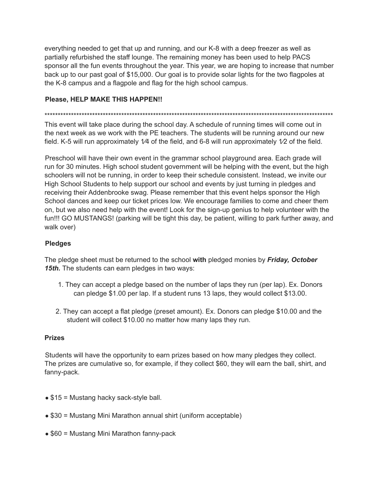everything needed to get that up and running, and our K-8 with a deep freezer as well as partially refurbished the staff lounge. The remaining money has been used to help PACS sponsor all the fun events throughout the year. This year, we are hoping to increase that number back up to our past goal of \$15,000. Our goal is to provide solar lights for the two flagpoles at the K-8 campus and a flagpole and flag for the high school campus.

## **Please, HELP MAKE THIS HAPPEN!!**

\*\*\*\*\*\*\*\*\*\*\*\*\*\*\*\*\*\*\*\*\*\*\*\*\*\*\*\*\*\*\*\*\*\*\*\*\*\*\*\*\*\*\*\*\*\*\*\*\*\*\*\*\*\*\*\*\*\*\*\*\*\*\*\*\*\*\*\*\*\*\*\*\*\*\*\*\*\*\*\*\*\*\*\*\*\*\*\*\*\*\*\*\*\*\*\*\*\*\*\*\*\*\*\*\*\*\*\*\*

This event will take place during the school day. A schedule of running times will come out in the next week as we work with the PE teachers. The students will be running around our new field. K-5 will run approximately 1⁄4 of the field, and 6-8 will run approximately 1⁄2 of the field.

Preschool will have their own event in the grammar school playground area. Each grade will run for 30 minutes. High school student government will be helping with the event, but the high schoolers will not be running, in order to keep their schedule consistent. Instead, we invite our High School Students to help support our school and events by just turning in pledges and receiving their Addenbrooke swag. Please remember that this event helps sponsor the High School dances and keep our ticket prices low. We encourage families to come and cheer them on, but we also need help with the event! Look for the sign-up genius to help volunteer with the fun!!! GO MUSTANGS! (parking will be tight this day, be patient, willing to park further away, and walk over)

## **Pledges**

The pledge sheet must be returned to the school **with** pledged monies by *Friday, October 15th.* The students can earn pledges in two ways:

- 1. They can accept a pledge based on the number of laps they run (per lap). Ex. Donors can pledge \$1.00 per lap. If a student runs 13 laps, they would collect \$13.00.
- 2. They can accept a flat pledge (preset amount). Ex. Donors can pledge \$10.00 and the student will collect \$10.00 no matter how many laps they run.

### **Prizes**

Students will have the opportunity to earn prizes based on how many pledges they collect. The prizes are cumulative so, for example, if they collect \$60, they will earn the ball, shirt, and fanny-pack.

- $\bullet$  \$15 = Mustang hacky sack-style ball.
- \$30 = Mustang Mini Marathon annual shirt (uniform acceptable)
- \$60 = Mustang Mini Marathon fanny-pack